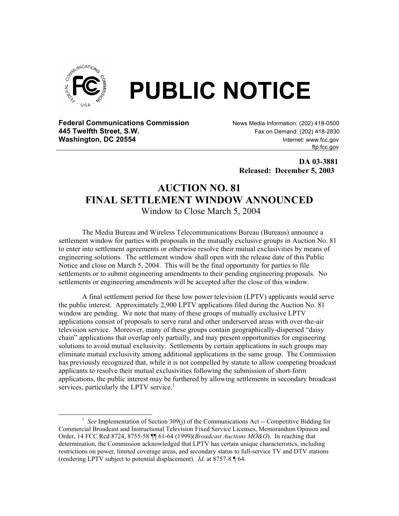

**Federal Communications Commission News Media Information: (202) 418-0500 445 Twelfth Street, S.W. Fax on Demand: (202) 418-2830 Fax on Demand: (202) 418-2830 Washington, DC 20554 Internet: www.fcc.gov** 

ftp.fcc.gov

 **DA 03-3881 Released: December 5, 2003** 

## **AUCTION NO. 81 FINAL SETTLEMENT WINDOW ANNOUNCED**

Window to Close March 5, 2004

The Media Bureau and Wireless Telecommunications Bureau (Bureaus) announce a settlement window for parties with proposals in the mutually exclusive groups in Auction No. 81 to enter into settlement agreements or otherwise resolve their mutual exclusivities by means of engineering solutions. The settlement window shall open with the release date of this Public Notice and close on March 5, 2004. This will be the final opportunity for parties to file settlements or to submit engineering amendments to their pending engineering proposals. No settlements or engineering amendments will be accepted after the close of this window.

 A final settlement period for these low power television (LPTV) applicants would serve the public interest. Approximately 2,900 LPTV applications filed during the Auction No. 81 window are pending. We note that many of these groups of mutually exclusive LPTV applications consist of proposals to serve rural and other underserved areas with over-the-air television service. Moreover, many of these groups contain geographically-dispersed "daisy chain" applications that overlap only partially, and may present opportunities for engineering solutions to avoid mutual exclusivity. Settlements by certain applications in such groups may eliminate mutual exclusivity among additional applications in the same group. The Commission has previously recognized that, while it is not compelled by statute to allow competing broadcast applicants to resolve their mutual exclusivities following the submission of short-form applications, the public interest may be furthered by allowing settlements in secondary broadcast services, particularly the LPTV service.<sup>1</sup>

<sup>&</sup>lt;u>1</u> <sup>1</sup> See Implementation of Section 309(j) of the Communications Act -- Competitive Bidding for Commercial Broadcast and Instructional Television Fixed Service Licenses, Memorandum Opinion and Order, 14 FCC Rcd 8724, 8755-58 ¶¶ 61-64 (1999)(*Broadcast Auctions MO&O*). In reaching that determination, the Commission acknowledged that LPTV has certain unique characteristics, including restrictions on power, limited coverage areas, and secondary status to full-service TV and DTV stations (rendering LPTV subject to potential displacement). *Id.* at 8757-8 ¶ 64.